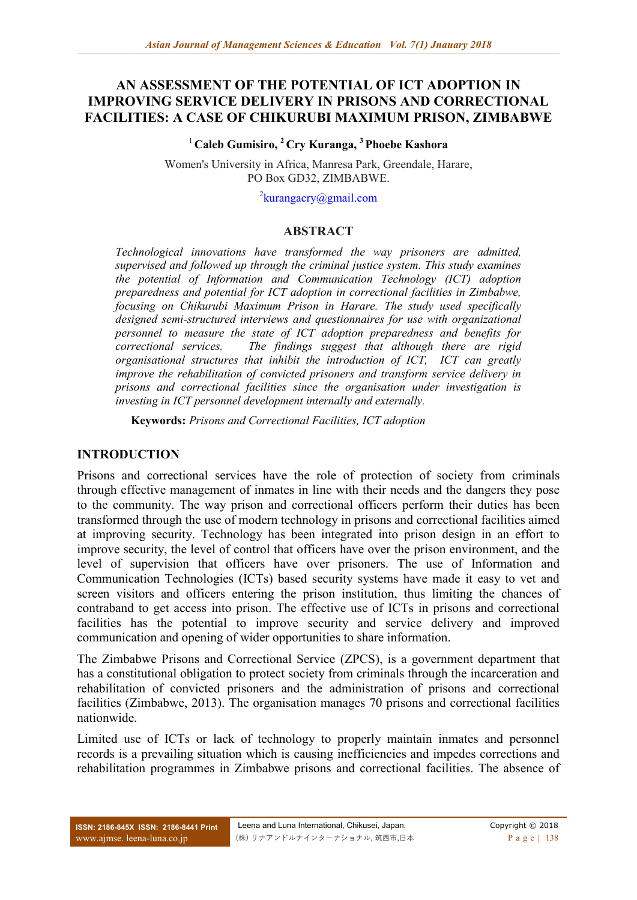# **AN ASSESSMENT OF THE POTENTIAL OF ICT ADOPTION IN IMPROVING SERVICE DELIVERY IN PRISONS AND CORRECTIONAL FACILITIES: A CASE OF CHIKURUBI MAXIMUM PRISON, ZIMBABWE**

#### <sup>1</sup>**Caleb Gumisiro, <sup>2</sup>Cry Kuranga, <sup>3</sup>Phoebe Kashora**

Women's University in Africa, Manresa Park, Greendale, Harare, PO Box GD32, ZIMBABWE.

<sup>2</sup>[kurangacry@gmail.com](mailto:2kurangacry@gmail.com)

#### **ABSTRACT**

*Technological innovations have transformed the way prisoners are admitted, supervised and followed up through the criminal justice system. This study examines the potential of Information and Communication Technology (ICT) adoption preparedness and potential for ICT adoption in correctional facilities in Zimbabwe, focusing on Chikurubi Maximum Prison in Harare. The study used specifically designed semi-structured interviews and questionnaires for use with organizational personnel to measure the state of ICT adoption preparedness and benefits for correctional services. The findings suggest that although there are rigid organisational structures that inhibit the introduction of ICT, ICT can greatly improve the rehabilitation of convicted prisoners and transform service delivery in prisons and correctional facilities since the organisation under investigation is investing in ICT personnel development internally and externally.*

**Keywords:** *Prisons and Correctional Facilities, ICT adoption*

#### **INTRODUCTION**

Prisons and correctional services have the role of protection of society from criminals through effective management of inmates in line with their needs and the dangers they pose to the community. The way prison and correctional officers perform their duties has been transformed through the use of modern technology in prisons and correctional facilities aimed at improving security. Technology has been integrated into prison design in an effort to improve security, the level of control that officers have over the prison environment, and the level of supervision that officers have over prisoners. The use of Information and Communication Technologies (ICTs) based security systems have made it easy to vet and screen visitors and officers entering the prison institution, thus limiting the chances of contraband to get access into prison. The effective use of ICTs in prisons and correctional facilities has the potential to improve security and service delivery and improved communication and opening of wider opportunities to share information.

The Zimbabwe Prisons and Correctional Service (ZPCS), is a government department that has a constitutional obligation to protect society from criminals through the incarceration and rehabilitation of convicted prisoners and the administration of prisons and correctional facilities (Zimbabwe, 2013). The organisation manages 70 prisons and correctional facilities nationwide.

Limited use of ICTs or lack of technology to properly maintain inmates and personnel records is a prevailing situation which is causing inefficiencies and impedes corrections and rehabilitation programmes in Zimbabwe prisons and correctional facilities. The absence of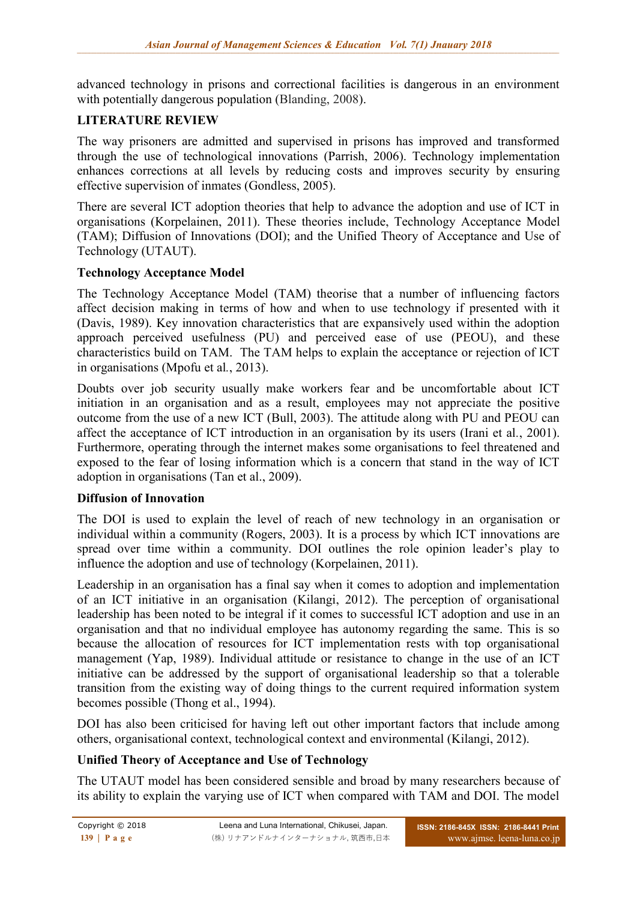advanced technology in prisons and correctional facilities is dangerous in an environment with potentially dangerous population (Blanding, 2008).

## **LITERATURE REVIEW**

The way prisoners are admitted and supervised in prisons has improved and transformed through the use of technological innovations (Parrish, 2006). Technology implementation enhances corrections at all levels by reducing costs and improves security by ensuring effective supervision of inmates (Gondless, 2005).

There are several ICT adoption theories that help to advance the adoption and use of ICT in organisations (Korpelainen, 2011). These theories include, Technology Acceptance Model (TAM); Diffusion of Innovations (DOI); and the Unified Theory of Acceptance and Use of Technology (UTAUT).

#### **Technology Acceptance Model**

The Technology Acceptance Model (TAM) theorise that a number of influencing factors affect decision making in terms of how and when to use technology if presented with it (Davis, 1989). Key innovation characteristics that are expansively used within the adoption approach perceived usefulness (PU) and perceived ease of use (PEOU), and these characteristics build on TAM. The TAM helps to explain the acceptance or rejection of ICT in organisations (Mpofu et al*.*, 2013).

Doubts over job security usually make workers fear and be uncomfortable about ICT initiation in an organisation and as a result, employees may not appreciate the positive outcome from the use of a new ICT (Bull, 2003). The attitude along with PU and PEOU can affect the acceptance of ICT introduction in an organisation by its users (Irani et al*.*, 2001). Furthermore, operating through the internet makes some organisations to feel threatened and exposed to the fear of losing information which is a concern that stand in the way of ICT adoption in organisations (Tan et al., 2009).

#### **Diffusion of Innovation**

The DOI is used to explain the level of reach of new technology in an organisation or individual within a community (Rogers, 2003). It is a process by which ICT innovations are spread over time within a community. DOI outlines the role opinion leader's play to influence the adoption and use of technology (Korpelainen, 2011).

Leadership in an organisation has a final say when it comes to adoption and implementation of an ICT initiative in an organisation (Kilangi, 2012). The perception of organisational leadership has been noted to be integral if it comes to successful ICT adoption and use in an organisation and that no individual employee has autonomy regarding the same. This is so because the allocation of resources for ICT implementation rests with top organisational management (Yap, 1989). Individual attitude or resistance to change in the use of an ICT initiative can be addressed by the support of organisational leadership so that a tolerable transition from the existing way of doing things to the current required information system becomes possible (Thong et al., 1994).

DOI has also been criticised for having left out other important factors that include among others, organisational context, technological context and environmental (Kilangi, 2012).

## **Unified Theory of Acceptance and Use of Technology**

The UTAUT model has been considered sensible and broad by many researchers because of its ability to explain the varying use of ICT when compared with TAM and DOI. The model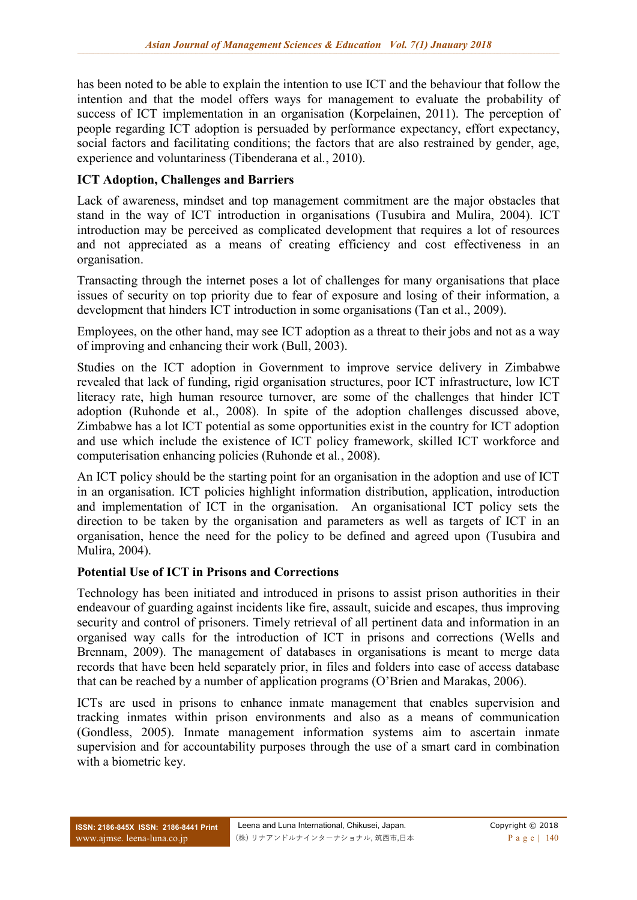has been noted to be able to explain the intention to use ICT and the behaviour that follow the intention and that the model offers ways for management to evaluate the probability of success of ICT implementation in an organisation (Korpelainen, 2011). The perception of people regarding ICT adoption is persuaded by performance expectancy, effort expectancy, social factors and facilitating conditions; the factors that are also restrained by gender, age, experience and voluntariness (Tibenderana et al*.*, 2010).

## **ICT Adoption, Challenges and Barriers**

Lack of awareness, mindset and top management commitment are the major obstacles that stand in the way of ICT introduction in organisations (Tusubira and Mulira, 2004). ICT introduction may be perceived as complicated development that requires a lot of resources and not appreciated as a means of creating efficiency and cost effectiveness in an organisation.

Transacting through the internet poses a lot of challenges for many organisations that place issues of security on top priority due to fear of exposure and losing of their information, a development that hinders ICT introduction in some organisations (Tan et al., 2009).

Employees, on the other hand, may see ICT adoption as a threat to their jobs and not as a way of improving and enhancing their work (Bull, 2003).

Studies on the ICT adoption in Government to improve service delivery in Zimbabwe revealed that lack of funding, rigid organisation structures, poor ICT infrastructure, low ICT literacy rate, high human resource turnover, are some of the challenges that hinder ICT adoption (Ruhonde et al., 2008). In spite of the adoption challenges discussed above, Zimbabwe has a lot ICT potential as some opportunities exist in the country for ICT adoption and use which include the existence of ICT policy framework, skilled ICT workforce and computerisation enhancing policies (Ruhonde et al*.*, 2008).

An ICT policy should be the starting point for an organisation in the adoption and use of ICT in an organisation. ICT policies highlight information distribution, application, introduction and implementation of ICT in the organisation. An organisational ICT policy sets the direction to be taken by the organisation and parameters as well as targets of ICT in an organisation, hence the need for the policy to be defined and agreed upon (Tusubira and Mulira, 2004).

#### **Potential Use of ICT in Prisons and Corrections**

Technology has been initiated and introduced in prisons to assist prison authorities in their endeavour of guarding against incidents like fire, assault, suicide and escapes, thus improving security and control of prisoners. Timely retrieval of all pertinent data and information in an organised way calls for the introduction of ICT in prisons and corrections (Wells and Brennam, 2009). The management of databases in organisations is meant to merge data records that have been held separately prior, in files and folders into ease of access database that can be reached by a number of application programs (O'Brien and Marakas, 2006).

ICTs are used in prisons to enhance inmate management that enables supervision and tracking inmates within prison environments and also as a means of communication (Gondless, 2005). Inmate management information systems aim to ascertain inmate supervision and for accountability purposes through the use of a smart card in combination with a biometric key.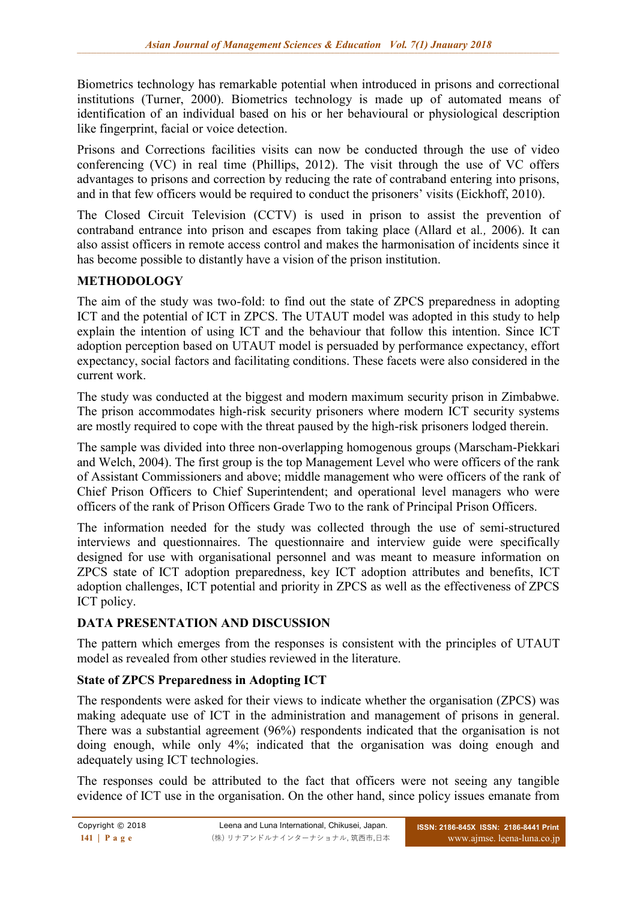Biometrics technology has remarkable potential when introduced in prisons and correctional institutions (Turner, 2000). Biometrics technology is made up of automated means of identification of an individual based on his or her behavioural or physiological description like fingerprint, facial or voice detection.

Prisons and Corrections facilities visits can now be conducted through the use of video conferencing (VC) in real time (Phillips, 2012). The visit through the use of VC offers advantages to prisons and correction by reducing the rate of contraband entering into prisons, and in that few officers would be required to conduct the prisoners' visits (Eickhoff, 2010).

The Closed Circuit Television (CCTV) is used in prison to assist the prevention of contraband entrance into prison and escapes from taking place (Allard et al*.,* 2006). It can also assist officers in remote access control and makes the harmonisation of incidents since it has become possible to distantly have a vision of the prison institution.

## **METHODOLOGY**

The aim of the study was two-fold: to find out the state of ZPCS preparedness in adopting ICT and the potential of ICT in ZPCS. The UTAUT model was adopted in this study to help explain the intention of using ICT and the behaviour that follow this intention. Since ICT adoption perception based on UTAUT model is persuaded by performance expectancy, effort expectancy, social factors and facilitating conditions. These facets were also considered in the current work.

The study was conducted at the biggest and modern maximum security prison in Zimbabwe. The prison accommodates high-risk security prisoners where modern ICT security systems are mostly required to cope with the threat paused by the high-risk prisoners lodged therein.

The sample was divided into three non-overlapping homogenous groups (Marscham-Piekkari and Welch, 2004). The first group is the top Management Level who were officers of the rank of Assistant Commissioners and above; middle management who were officers of the rank of Chief Prison Officers to Chief Superintendent; and operational level managers who were officers of the rank of Prison Officers Grade Two to the rank of Principal Prison Officers.

The information needed for the study was collected through the use of semi-structured interviews and questionnaires. The questionnaire and interview guide were specifically designed for use with organisational personnel and was meant to measure information on ZPCS state of ICT adoption preparedness, key ICT adoption attributes and benefits, ICT adoption challenges, ICT potential and priority in ZPCS as well as the effectiveness of ZPCS ICT policy.

## **DATA PRESENTATION AND DISCUSSION**

The pattern which emerges from the responses is consistent with the principles of UTAUT model as revealed from other studies reviewed in the literature.

## **State of ZPCS Preparedness in Adopting ICT**

The respondents were asked for their views to indicate whether the organisation (ZPCS) was making adequate use of ICT in the administration and management of prisons in general. There was a substantial agreement (96%) respondents indicated that the organisation is not doing enough, while only 4%; indicated that the organisation was doing enough and adequately using ICT technologies.

The responses could be attributed to the fact that officers were not seeing any tangible evidence of ICT use in the organisation. On the other hand, since policy issues emanate from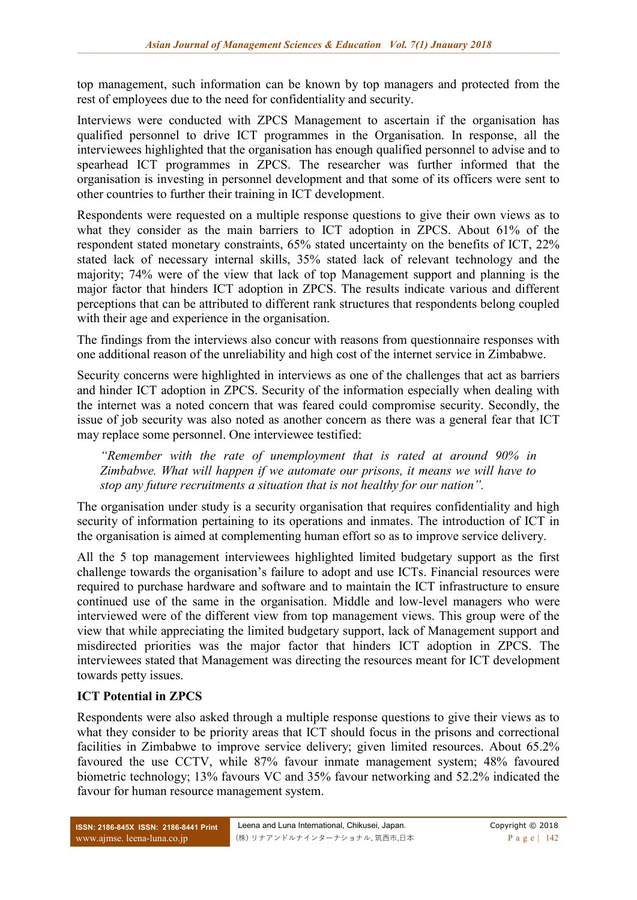top management, such information can be known by top managers and protected from the rest of employees due to the need for confidentiality and security.

Interviews were conducted with ZPCS Management to ascertain if the organisation has qualified personnel to drive ICT programmes in the Organisation. In response, all the interviewees highlighted that the organisation has enough qualified personnel to advise and to spearhead ICT programmes in ZPCS. The researcher was further informed that the organisation is investing in personnel development and that some of its officers were sent to other countries to further their training in ICT development.

Respondents were requested on a multiple response questions to give their own views as to what they consider as the main barriers to ICT adoption in ZPCS. About 61% of the respondent stated monetary constraints, 65% stated uncertainty on the benefits of ICT, 22% stated lack of necessary internal skills, 35% stated lack of relevant technology and the majority; 74% were of the view that lack of top Management support and planning is the major factor that hinders ICT adoption in ZPCS. The results indicate various and different perceptions that can be attributed to different rank structures that respondents belong coupled with their age and experience in the organisation.

The findings from the interviews also concur with reasons from questionnaire responses with one additional reason of the unreliability and high cost of the internet service in Zimbabwe.

Security concerns were highlighted in interviews as one of the challenges that act as barriers and hinder ICT adoption in ZPCS. Security of the information especially when dealing with the internet was a noted concern that was feared could compromise security. Secondly, the issue of job security was also noted as another concern as there was a general fear that ICT may replace some personnel. One interviewee testified:

*"Remember with the rate of unemployment that is rated at around 90% in Zimbabwe. What will happen if we automate our prisons, it means we will have to stop any future recruitments a situation that is not healthy for our nation".*

The organisation under study is a security organisation that requires confidentiality and high security of information pertaining to its operations and inmates. The introduction of ICT in the organisation is aimed at complementing human effort so as to improve service delivery.

All the 5 top management interviewees highlighted limited budgetary support as the first challenge towards the organisation's failure to adopt and use ICTs. Financial resources were required to purchase hardware and software and to maintain the ICT infrastructure to ensure continued use of the same in the organisation. Middle and low-level managers who were interviewed were of the different view from top management views. This group were of the view that while appreciating the limited budgetary support, lack of Management support and misdirected priorities was the major factor that hinders ICT adoption in ZPCS. The interviewees stated that Management was directing the resources meant for ICT development towards petty issues.

## **ICT Potential in ZPCS**

Respondents were also asked through a multiple response questions to give their views as to what they consider to be priority areas that ICT should focus in the prisons and correctional facilities in Zimbabwe to improve service delivery; given limited resources. About 65.2% favoured the use CCTV, while 87% favour inmate management system; 48% favoured biometric technology; 13% favours VC and 35% favour networking and 52.2% indicated the favour for human resource management system.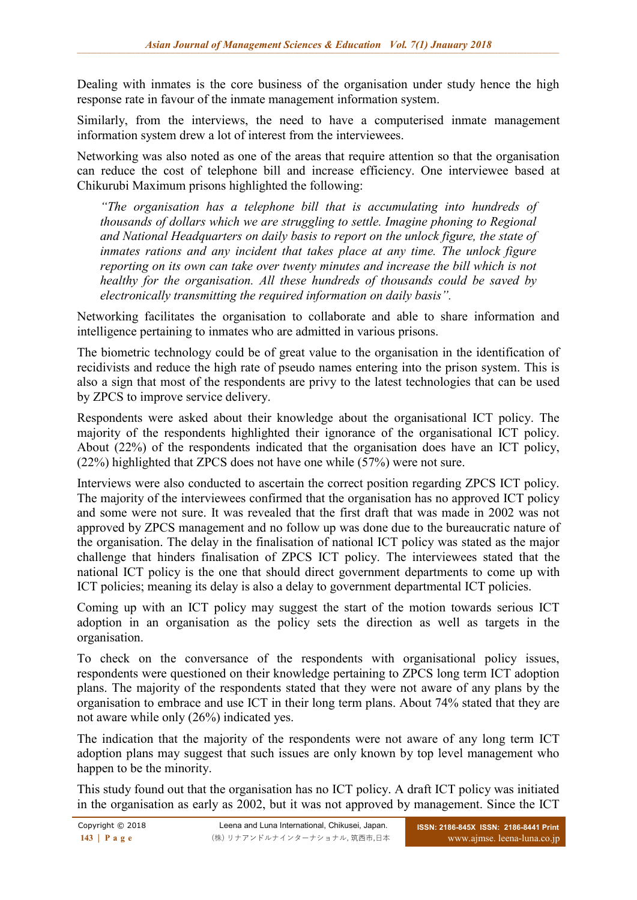Dealing with inmates is the core business of the organisation under study hence the high response rate in favour of the inmate management information system.

Similarly, from the interviews, the need to have a computerised inmate management information system drew a lot of interest from the interviewees.

Networking was also noted as one of the areas that require attention so that the organisation can reduce the cost of telephone bill and increase efficiency. One interviewee based at Chikurubi Maximum prisons highlighted the following:

*"The organisation has a telephone bill that is accumulating into hundreds of thousands of dollars which we are struggling to settle. Imagine phoning to Regional and National Headquarters on daily basis to report on the unlock figure, the state of inmates rations and any incident that takes place at any time. The unlock figure reporting on its own can take over twenty minutes and increase the bill which is not healthy for the organisation. All these hundreds of thousands could be saved by electronically transmitting the required information on daily basis".*

Networking facilitates the organisation to collaborate and able to share information and intelligence pertaining to inmates who are admitted in various prisons.

The biometric technology could be of great value to the organisation in the identification of recidivists and reduce the high rate of pseudo names entering into the prison system. This is also a sign that most of the respondents are privy to the latest technologies that can be used by ZPCS to improve service delivery.

Respondents were asked about their knowledge about the organisational ICT policy. The majority of the respondents highlighted their ignorance of the organisational ICT policy. About (22%) of the respondents indicated that the organisation does have an ICT policy, (22%) highlighted that ZPCS does not have one while (57%) were not sure.

Interviews were also conducted to ascertain the correct position regarding ZPCS ICT policy. The majority of the interviewees confirmed that the organisation has no approved ICT policy and some were not sure. It was revealed that the first draft that was made in 2002 was not approved by ZPCS management and no follow up was done due to the bureaucratic nature of the organisation. The delay in the finalisation of national ICT policy was stated as the major challenge that hinders finalisation of ZPCS ICT policy. The interviewees stated that the national ICT policy is the one that should direct government departments to come up with ICT policies; meaning its delay is also a delay to government departmental ICT policies.

Coming up with an ICT policy may suggest the start of the motion towards serious ICT adoption in an organisation as the policy sets the direction as well as targets in the organisation.

To check on the conversance of the respondents with organisational policy issues, respondents were questioned on their knowledge pertaining to ZPCS long term ICT adoption plans. The majority of the respondents stated that they were not aware of any plans by the organisation to embrace and use ICT in their long term plans. About 74% stated that they are not aware while only (26%) indicated yes.

The indication that the majority of the respondents were not aware of any long term ICT adoption plans may suggest that such issues are only known by top level management who happen to be the minority.

This study found out that the organisation has no ICT policy. A draft ICT policy was initiated in the organisation as early as 2002, but it was not approved by management. Since the ICT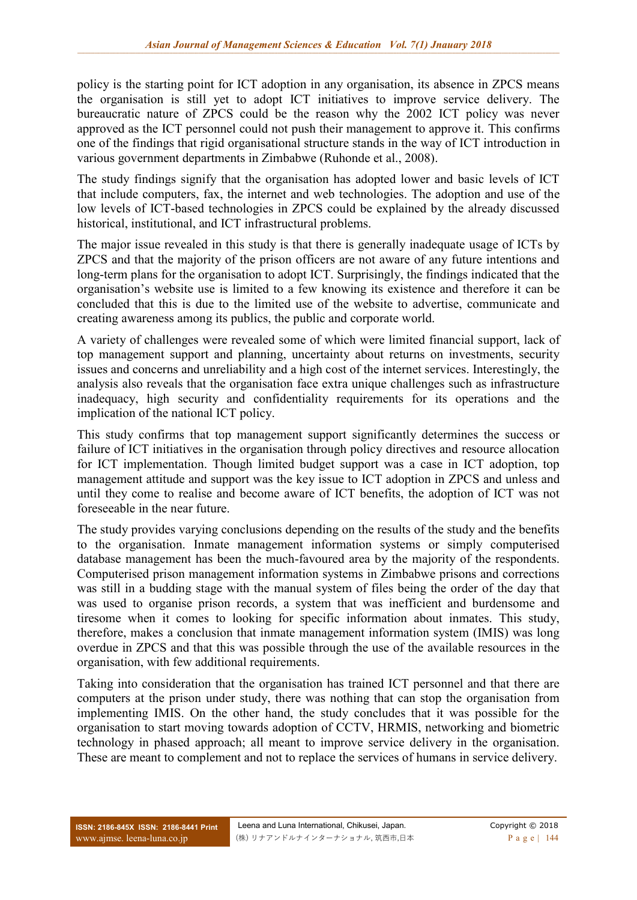policy is the starting point for ICT adoption in any organisation, its absence in ZPCS means the organisation is still yet to adopt ICT initiatives to improve service delivery. The bureaucratic nature of ZPCS could be the reason why the 2002 ICT policy was never approved as the ICT personnel could not push their management to approve it. This confirms one of the findings that rigid organisational structure stands in the way of ICT introduction in various government departments in Zimbabwe (Ruhonde et al., 2008).

The study findings signify that the organisation has adopted lower and basic levels of ICT that include computers, fax, the internet and web technologies. The adoption and use of the low levels of ICT-based technologies in ZPCS could be explained by the already discussed historical, institutional, and ICT infrastructural problems.

The major issue revealed in this study is that there is generally inadequate usage of ICTs by ZPCS and that the majority of the prison officers are not aware of any future intentions and long-term plans for the organisation to adopt ICT. Surprisingly, the findings indicated that the organisation's website use is limited to a few knowing its existence and therefore it can be concluded that this is due to the limited use of the website to advertise, communicate and creating awareness among its publics, the public and corporate world.

A variety of challenges were revealed some of which were limited financial support, lack of top management support and planning, uncertainty about returns on investments, security issues and concerns and unreliability and a high cost of the internet services. Interestingly, the analysis also reveals that the organisation face extra unique challenges such as infrastructure inadequacy, high security and confidentiality requirements for its operations and the implication of the national ICT policy.

This study confirms that top management support significantly determines the success or failure of ICT initiatives in the organisation through policy directives and resource allocation for ICT implementation. Though limited budget support was a case in ICT adoption, top management attitude and support was the key issue to ICT adoption in ZPCS and unless and until they come to realise and become aware of ICT benefits, the adoption of ICT was not foreseeable in the near future.

The study provides varying conclusions depending on the results of the study and the benefits to the organisation. Inmate management information systems or simply computerised database management has been the much-favoured area by the majority of the respondents. Computerised prison management information systems in Zimbabwe prisons and corrections was still in a budding stage with the manual system of files being the order of the day that was used to organise prison records, a system that was inefficient and burdensome and tiresome when it comes to looking for specific information about inmates. This study, therefore, makes a conclusion that inmate management information system (IMIS) was long overdue in ZPCS and that this was possible through the use of the available resources in the organisation, with few additional requirements.

Taking into consideration that the organisation has trained ICT personnel and that there are computers at the prison under study, there was nothing that can stop the organisation from implementing IMIS. On the other hand, the study concludes that it was possible for the organisation to start moving towards adoption of CCTV, HRMIS, networking and biometric technology in phased approach; all meant to improve service delivery in the organisation. These are meant to complement and not to replace the services of humans in service delivery.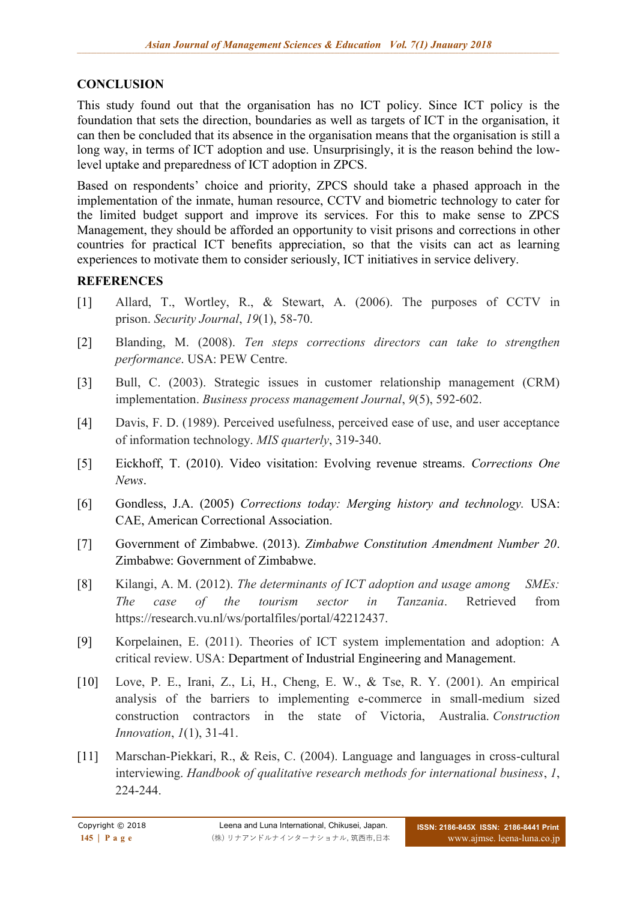# **CONCLUSION**

This study found out that the organisation has no ICT policy. Since ICT policy is the foundation that sets the direction, boundaries as well as targets of ICT in the organisation, it can then be concluded that its absence in the organisation means that the organisation is still a long way, in terms of ICT adoption and use. Unsurprisingly, it is the reason behind the lowlevel uptake and preparedness of ICT adoption in ZPCS.

Based on respondents' choice and priority, ZPCS should take a phased approach in the implementation of the inmate, human resource, CCTV and biometric technology to cater for the limited budget support and improve its services. For this to make sense to ZPCS Management, they should be afforded an opportunity to visit prisons and corrections in other countries for practical ICT benefits appreciation, so that the visits can act as learning experiences to motivate them to consider seriously, ICT initiatives in service delivery.

## **REFERENCES**

- [1] Allard, T., Wortley, R., & Stewart, A. (2006). The purposes of CCTV in prison. *Security Journal*, *19*(1), 58-70.
- [2] Blanding, M. (2008). *Ten steps corrections directors can take to strengthen performance*. USA: PEW Centre.
- [3] Bull, C. (2003). Strategic issues in customer relationship management (CRM) implementation. *Business process management Journal*, *9*(5), 592-602.
- [4] Davis, F. D. (1989). Perceived usefulness, perceived ease of use, and user acceptance of information technology. *MIS quarterly*, 319-340.
- [5] Eickhoff, T. (2010). Video visitation: Evolving revenue streams. *Corrections One News*.
- [6] Gondless, J.A. (2005) *Corrections today: Merging history and technology.* USA: CAE, American Correctional Association.
- [7] Government of Zimbabwe. (2013). *Zimbabwe Constitution Amendment Number 20*. Zimbabwe: Government of Zimbabwe.
- [8] Kilangi, A. M. (2012). *The determinants of ICT adoption and usage among SMEs: The case of the tourism sector in Tanzania*. Retrieved from https://research.vu.nl/ws/portalfiles/portal/42212437.
- [9] Korpelainen, E. (2011). Theories of ICT system implementation and adoption: A critical review. USA: Department of Industrial Engineering and Management.
- [10] Love, P. E., Irani, Z., Li, H., Cheng, E. W., & Tse, R. Y. (2001). An empirical analysis of the barriers to implementing e-commerce in small-medium sized construction contractors in the state of Victoria, Australia. *Construction Innovation*, *1*(1), 31-41.
- [11] Marschan-Piekkari, R., & Reis, C. (2004). Language and languages in cross-cultural interviewing. *Handbook of qualitative research methods for international business*, *1*, 224-244.